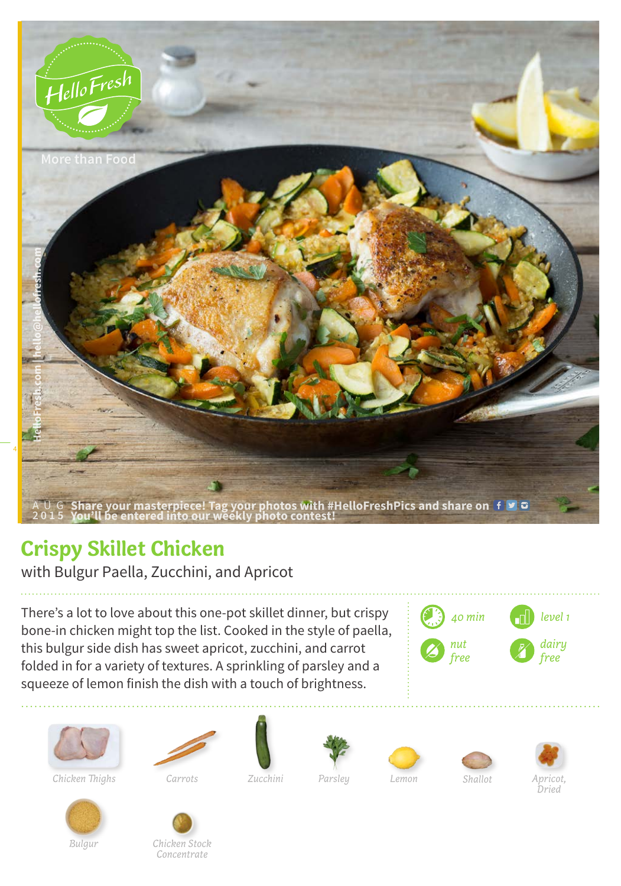

## **Crispy Skillet Chicken**

with Bulgur Paella, Zucchini, and Apricot

There's a lot to love about this one-pot skillet dinner, but crispy bone-in chicken might top the list. Cooked in the style of paella, this bulgur side dish has sweet apricot, zucchini, and carrot folded in for a variety of textures. A sprinkling of parsley and a squeeze of lemon finish the dish with a touch of brightness.







*Chicken Thighs Carrots Apricot,* 











*Bulgur*



*Zucchini*

*Parsley Lemon Shallot*

*Dried*